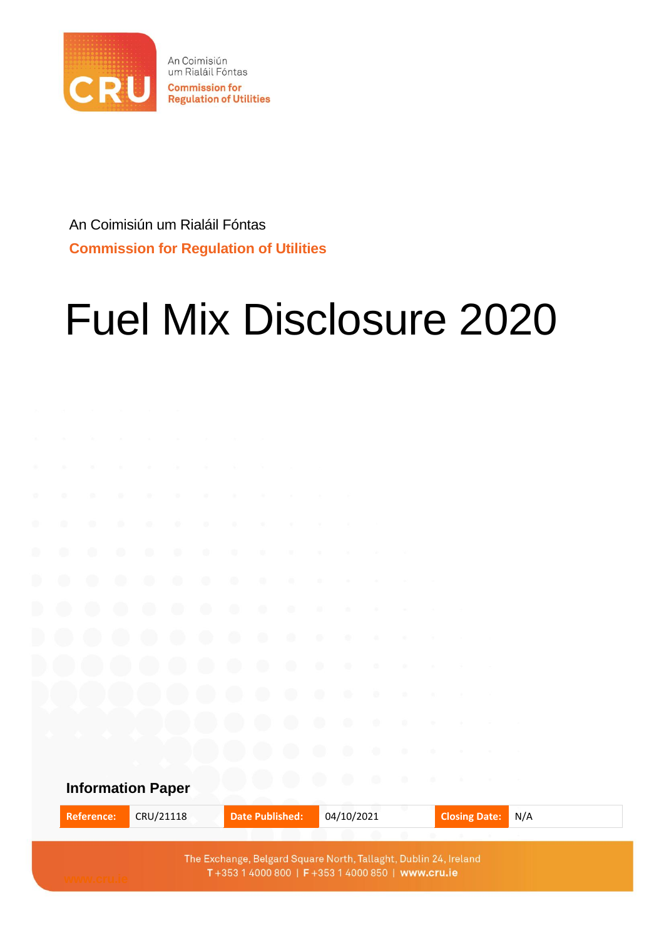

An Coimisiún um Rialáil Fóntas **Commission for Regulation of Utilities** 

An Coimisiún um Rialáil Fóntas **Commission for Regulation of Utilities**

# Fuel Mix Disclosure 2020

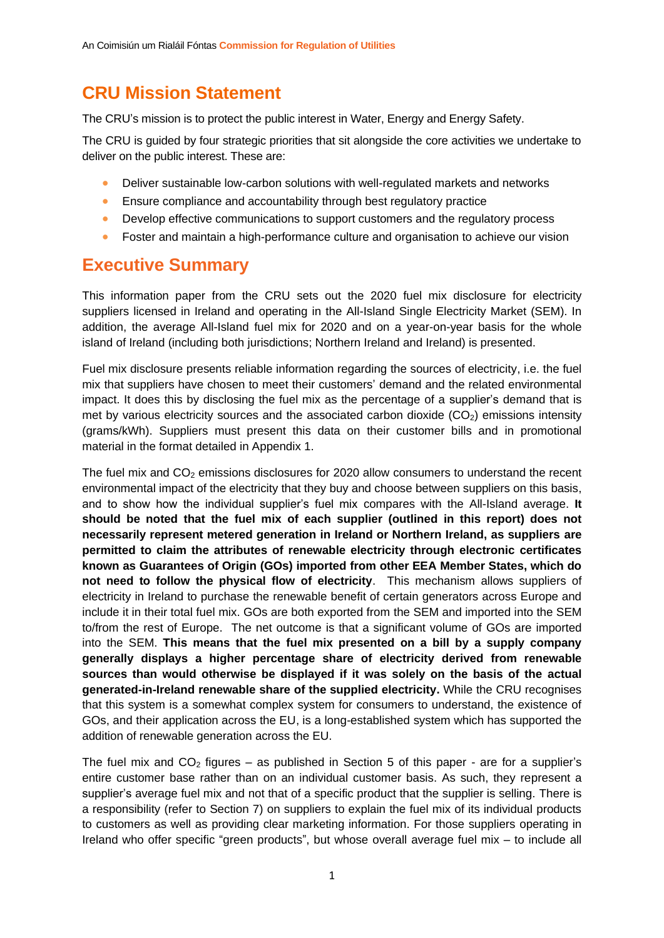## **CRU Mission Statement**

The CRU's mission is to protect the public interest in Water, Energy and Energy Safety.

The CRU is guided by four strategic priorities that sit alongside the core activities we undertake to deliver on the public interest. These are:

- Deliver sustainable low-carbon solutions with well-regulated markets and networks
- Ensure compliance and accountability through best regulatory practice
- Develop effective communications to support customers and the regulatory process
- Foster and maintain a high-performance culture and organisation to achieve our vision

#### **Executive Summary**

This information paper from the CRU sets out the 2020 fuel mix disclosure for electricity suppliers licensed in Ireland and operating in the All-Island Single Electricity Market (SEM). In addition, the average All-Island fuel mix for 2020 and on a year-on-year basis for the whole island of Ireland (including both jurisdictions; Northern Ireland and Ireland) is presented.

Fuel mix disclosure presents reliable information regarding the sources of electricity, i.e. the fuel mix that suppliers have chosen to meet their customers' demand and the related environmental impact. It does this by disclosing the fuel mix as the percentage of a supplier's demand that is met by various electricity sources and the associated carbon dioxide  $(CO<sub>2</sub>)$  emissions intensity (grams/kWh). Suppliers must present this data on their customer bills and in promotional material in the format detailed in Appendix 1.

The fuel mix and  $CO<sub>2</sub>$  emissions disclosures for 2020 allow consumers to understand the recent environmental impact of the electricity that they buy and choose between suppliers on this basis, and to show how the individual supplier's fuel mix compares with the All-Island average. **It should be noted that the fuel mix of each supplier (outlined in this report) does not necessarily represent metered generation in Ireland or Northern Ireland, as suppliers are permitted to claim the attributes of renewable electricity through electronic certificates known as Guarantees of Origin (GOs) imported from other EEA Member States, which do not need to follow the physical flow of electricity**. This mechanism allows suppliers of electricity in Ireland to purchase the renewable benefit of certain generators across Europe and include it in their total fuel mix. GOs are both exported from the SEM and imported into the SEM to/from the rest of Europe. The net outcome is that a significant volume of GOs are imported into the SEM. **This means that the fuel mix presented on a bill by a supply company generally displays a higher percentage share of electricity derived from renewable sources than would otherwise be displayed if it was solely on the basis of the actual generated-in-Ireland renewable share of the supplied electricity.** While the CRU recognises that this system is a somewhat complex system for consumers to understand, the existence of GOs, and their application across the EU, is a long-established system which has supported the addition of renewable generation across the EU.

The fuel mix and  $CO<sub>2</sub>$  figures – as published in Section 5 of this paper - are for a supplier's entire customer base rather than on an individual customer basis. As such, they represent a supplier's average fuel mix and not that of a specific product that the supplier is selling. There is a responsibility (refer to Section 7) on suppliers to explain the fuel mix of its individual products to customers as well as providing clear marketing information. For those suppliers operating in Ireland who offer specific "green products", but whose overall average fuel mix – to include all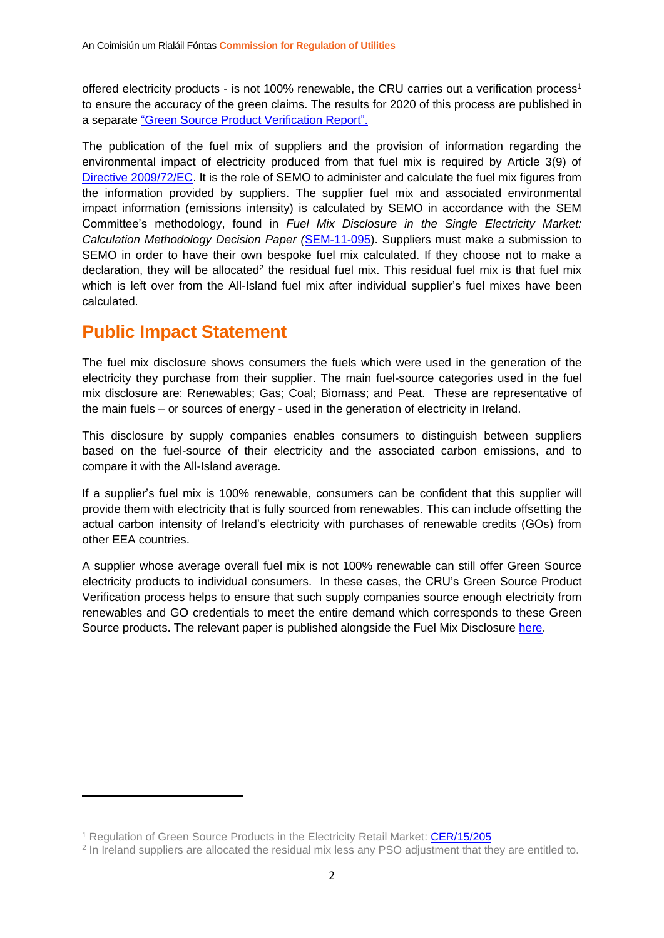offered electricity products - is not 100% renewable, the CRU carries out a verification process<sup>1</sup> to ensure the accuracy of the green claims. The results for 2020 of this process are published in a separate ["Green Source Product Verification](https://www.cru.ie/document_group/fuel-mix-and-co2-emissions-disclosure-2/) Report".

The publication of the fuel mix of suppliers and the provision of information regarding the environmental impact of electricity produced from that fuel mix is required by Article 3(9) of [Directive 2009/72/EC.](https://eur-lex.europa.eu/legal-content/EN/TXT/PDF/?uri=CELEX:32009L0072&from=EN) It is the role of SEMO to administer and calculate the fuel mix figures from the information provided by suppliers. The supplier fuel mix and associated environmental impact information (emissions intensity) is calculated by SEMO in accordance with the SEM Committee's methodology, found in *Fuel Mix Disclosure in the Single Electricity Market: Calculation Methodology Decision Paper (*[SEM-11-095\)](https://www.semcommittee.com/sites/semcommittee.com/files/media-files/SEM-11-095%20Fuel%20Mix%20Disclosure%20Calculation%20Methodology%20Decision%20Paper.pdf). Suppliers must make a submission to SEMO in order to have their own bespoke fuel mix calculated. If they choose not to make a declaration, they will be allocated<sup>2</sup> the residual fuel mix. This residual fuel mix is that fuel mix which is left over from the All-Island fuel mix after individual supplier's fuel mixes have been calculated.

#### **Public Impact Statement**

The fuel mix disclosure shows consumers the fuels which were used in the generation of the electricity they purchase from their supplier. The main fuel-source categories used in the fuel mix disclosure are: Renewables; Gas; Coal; Biomass; and Peat. These are representative of the main fuels – or sources of energy - used in the generation of electricity in Ireland.

This disclosure by supply companies enables consumers to distinguish between suppliers based on the fuel-source of their electricity and the associated carbon emissions, and to compare it with the All-Island average.

If a supplier's fuel mix is 100% renewable, consumers can be confident that this supplier will provide them with electricity that is fully sourced from renewables. This can include offsetting the actual carbon intensity of Ireland's electricity with purchases of renewable credits (GOs) from other EEA countries.

A supplier whose average overall fuel mix is not 100% renewable can still offer Green Source electricity products to individual consumers. In these cases, the CRU's Green Source Product Verification process helps to ensure that such supply companies source enough electricity from renewables and GO credentials to meet the entire demand which corresponds to these Green Source products. The relevant paper is published alongside the Fuel Mix Disclosure [here.](https://www.cru.ie/document_group/fuel-mix-and-co2-emissions-disclosure-2/)

<sup>&</sup>lt;sup>1</sup> Regulation of Green Source Products in the Electricity Retail Market: [CER/15/205](https://mk0cruieqdjtk6utoah.kinstacdn.com/wp-content/uploads/2015/07/CER15205-Green-Source-Products-Decision-Paper.pdf)

<sup>&</sup>lt;sup>2</sup> In Ireland suppliers are allocated the residual mix less any PSO adjustment that they are entitled to.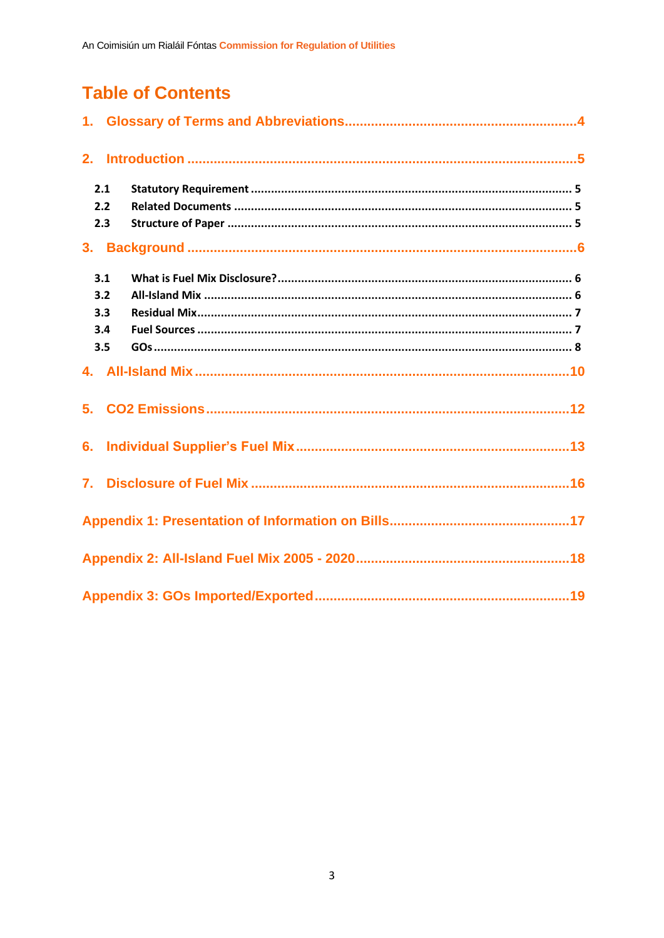## **Table of Contents**

|    | 2.1 |  |
|----|-----|--|
|    | 2.2 |  |
|    | 2.3 |  |
| 3. |     |  |
|    | 3.1 |  |
|    | 3.2 |  |
|    | 3.3 |  |
|    | 3.4 |  |
|    | 3.5 |  |
|    |     |  |
| 5. |     |  |
| 6. |     |  |
| 7. |     |  |
|    |     |  |
|    |     |  |
|    |     |  |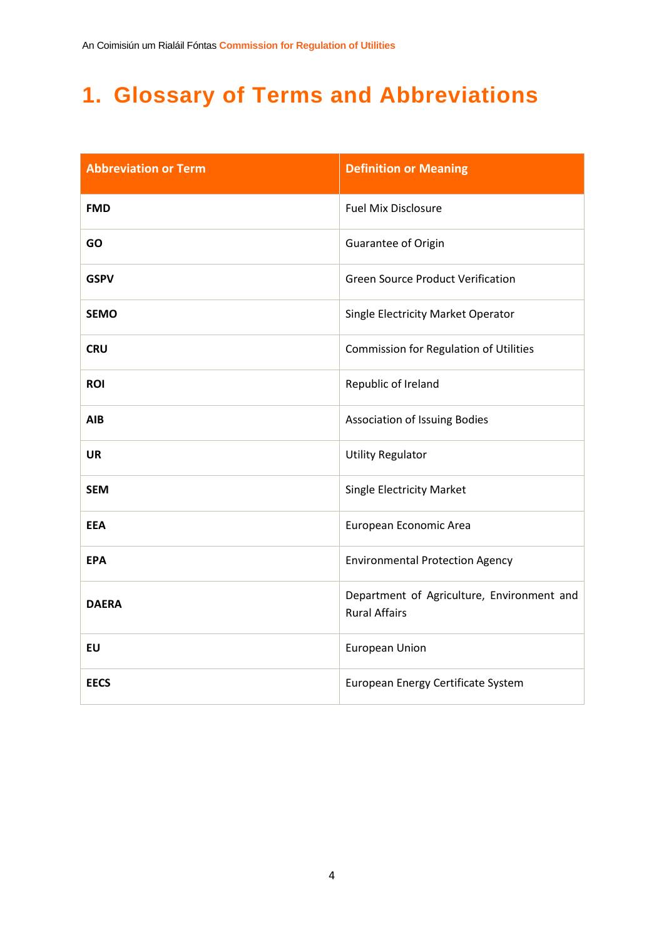# <span id="page-4-0"></span>**1. Glossary of Terms and Abbreviations**

| <b>Abbreviation or Term</b> | <b>Definition or Meaning</b>                                       |
|-----------------------------|--------------------------------------------------------------------|
| <b>FMD</b>                  | <b>Fuel Mix Disclosure</b>                                         |
| <b>GO</b>                   | Guarantee of Origin                                                |
| <b>GSPV</b>                 | <b>Green Source Product Verification</b>                           |
| <b>SEMO</b>                 | Single Electricity Market Operator                                 |
| <b>CRU</b>                  | Commission for Regulation of Utilities                             |
| <b>ROI</b>                  | Republic of Ireland                                                |
| <b>AIB</b>                  | Association of Issuing Bodies                                      |
| <b>UR</b>                   | <b>Utility Regulator</b>                                           |
| <b>SEM</b>                  | <b>Single Electricity Market</b>                                   |
| <b>EEA</b>                  | European Economic Area                                             |
| <b>EPA</b>                  | <b>Environmental Protection Agency</b>                             |
| <b>DAERA</b>                | Department of Agriculture, Environment and<br><b>Rural Affairs</b> |
| <b>EU</b>                   | <b>European Union</b>                                              |
| <b>EECS</b>                 | European Energy Certificate System                                 |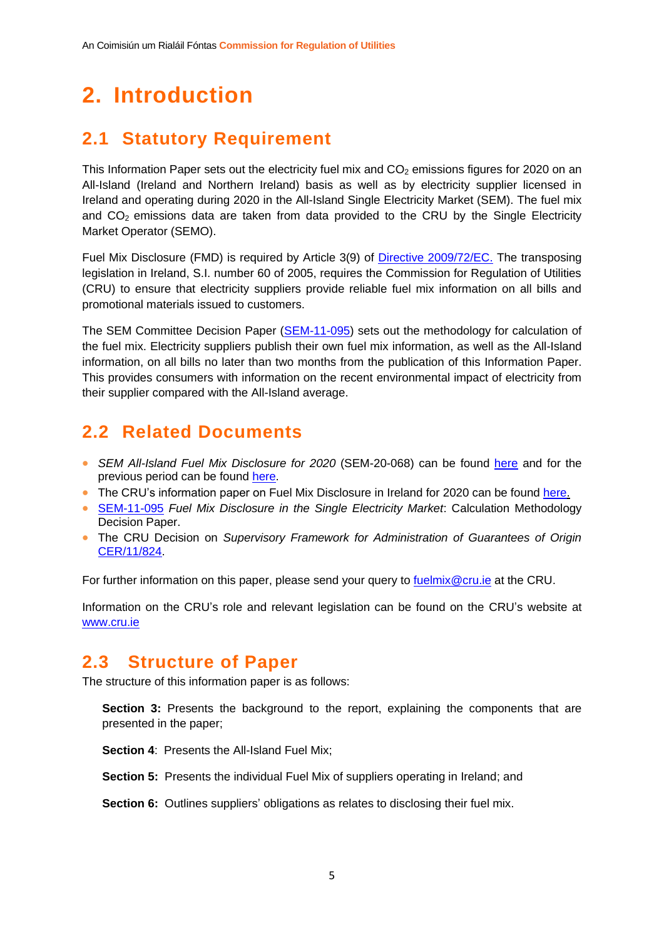# <span id="page-5-0"></span>**2. Introduction**

## <span id="page-5-1"></span>**2.1 Statutory Requirement**

This Information Paper sets out the electricity fuel mix and  $CO<sub>2</sub>$  emissions figures for 2020 on an All-Island (Ireland and Northern Ireland) basis as well as by electricity supplier licensed in Ireland and operating during 2020 in the All-Island Single Electricity Market (SEM). The fuel mix and  $CO<sub>2</sub>$  emissions data are taken from data provided to the CRU by the Single Electricity Market Operator (SEMO).

Fuel Mix Disclosure (FMD) is required by Article 3(9) of [Directive 2009/72/EC.](https://eur-lex.europa.eu/legal-content/EN/TXT/PDF/?uri=CELEX:32009L0072) The transposing legislation in Ireland, S.I. number 60 of 2005, requires the Commission for Regulation of Utilities (CRU) to ensure that electricity suppliers provide reliable fuel mix information on all bills and promotional materials issued to customers.

The SEM Committee Decision Paper [\(SEM-11-095\)](https://www.semcommittee.com/sites/semcommittee.com/files/media-files/SEM-11-095%20Fuel%20Mix%20Disclosure%20Calculation%20Methodology%20Decision%20Paper.pdf) sets out the methodology for calculation of the fuel mix. Electricity suppliers publish their own fuel mix information, as well as the All-Island information, on all bills no later than two months from the publication of this Information Paper. This provides consumers with information on the recent environmental impact of electricity from their supplier compared with the All-Island average.

#### <span id="page-5-2"></span>**2.2 Related Documents**

- *SEM All-Island Fuel Mix Disclosure for 2020* (SEM-20-068) can be found [here](https://www.semcommittee.com/sites/semc/files/media-files/SEM%20All%20Island%20Fuel%20Mix%20Disclosure%20%20Emissions%202019.pdf#page=8&zoom=100,92,220) and for the previous period can be found [here.](https://www.semcommittee.com/news-centre/all-island-fuel-mix-2018)
- The CRU's information paper on Fuel Mix Disclosure in Ireland for 2020 can be found [here.](https://www.cru.ie/document_group/fuel-mix-and-co2-emissions-disclosure-2/)
- [SEM-11-095](https://www.semcommittee.com/sites/semcommittee.com/files/media-files/SEM-11-095%20Fuel%20Mix%20Disclosure%20Calculation%20Methodology%20Decision%20Paper.pdf) *Fuel Mix Disclosure in the Single Electricity Market*: Calculation Methodology Decision Paper.
- The CRU Decision on *Supervisory Framework for Administration of Guarantees of Origin* [CER/11/824.](https://www.cru.ie/wp-content/uploads/2011/07/cer11824.pdf)

For further information on this paper, please send your query to [fuelmix@cru.ie](mailto:fuelmix@cru.ie) at the CRU.

Information on the CRU's role and relevant legislation can be found on the CRU's website at [www.cru.ie](http://www.cru.ie/)

#### <span id="page-5-3"></span>**2.3 Structure of Paper**

The structure of this information paper is as follows:

**Section 3:** Presents the background to the report, explaining the components that are presented in the paper;

**Section 4**: Presents the All-Island Fuel Mix;

**Section 5:** Presents the individual Fuel Mix of suppliers operating in Ireland; and

**Section 6:** Outlines suppliers' obligations as relates to disclosing their fuel mix.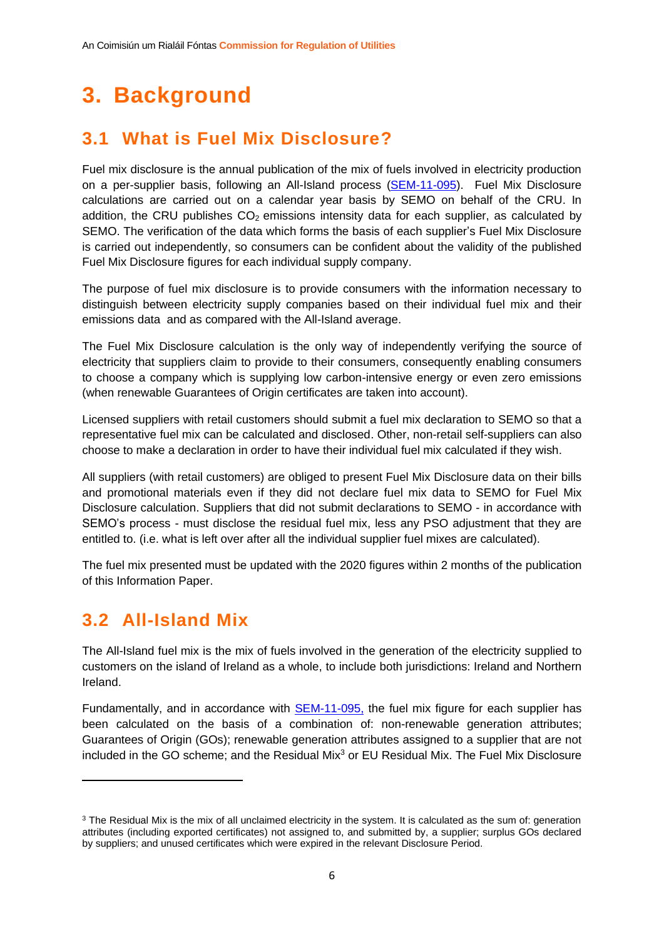# <span id="page-6-0"></span>**3. Background**

## <span id="page-6-1"></span>**3.1 What is Fuel Mix Disclosure?**

Fuel mix disclosure is the annual publication of the mix of fuels involved in electricity production on a per-supplier basis, following an All-Island process [\(SEM-11-095\)](https://www.semcommittee.com/sites/semcommittee.com/files/media-files/SEM-11-095%20Fuel%20Mix%20Disclosure%20Calculation%20Methodology%20Decision%20Paper.pdf). Fuel Mix Disclosure calculations are carried out on a calendar year basis by SEMO on behalf of the CRU. In addition, the CRU publishes  $CO<sub>2</sub>$  emissions intensity data for each supplier, as calculated by SEMO. The verification of the data which forms the basis of each supplier's Fuel Mix Disclosure is carried out independently, so consumers can be confident about the validity of the published Fuel Mix Disclosure figures for each individual supply company.

The purpose of fuel mix disclosure is to provide consumers with the information necessary to distinguish between electricity supply companies based on their individual fuel mix and their emissions data and as compared with the All-Island average.

The Fuel Mix Disclosure calculation is the only way of independently verifying the source of electricity that suppliers claim to provide to their consumers, consequently enabling consumers to choose a company which is supplying low carbon-intensive energy or even zero emissions (when renewable Guarantees of Origin certificates are taken into account).

Licensed suppliers with retail customers should submit a fuel mix declaration to SEMO so that a representative fuel mix can be calculated and disclosed. Other, non-retail self-suppliers can also choose to make a declaration in order to have their individual fuel mix calculated if they wish.

All suppliers (with retail customers) are obliged to present Fuel Mix Disclosure data on their bills and promotional materials even if they did not declare fuel mix data to SEMO for Fuel Mix Disclosure calculation. Suppliers that did not submit declarations to SEMO - in accordance with SEMO's process - must disclose the residual fuel mix, less any PSO adjustment that they are entitled to. (i.e. what is left over after all the individual supplier fuel mixes are calculated).

The fuel mix presented must be updated with the 2020 figures within 2 months of the publication of this Information Paper.

#### <span id="page-6-2"></span>**3.2 All-Island Mix**

The All-Island fuel mix is the mix of fuels involved in the generation of the electricity supplied to customers on the island of Ireland as a whole, to include both jurisdictions: Ireland and Northern Ireland.

Fundamentally, and in accordance with [SEM-11-095,](https://www.semcommittee.com/sites/semcommittee.com/files/media-files/SEM-11-095%20Fuel%20Mix%20Disclosure%20Calculation%20Methodology%20Decision%20Paper.pdf) the fuel mix figure for each supplier has been calculated on the basis of a combination of: non-renewable generation attributes; Guarantees of Origin (GOs); renewable generation attributes assigned to a supplier that are not included in the GO scheme; and the Residual Mix $3$  or EU Residual Mix. The Fuel Mix Disclosure

<sup>&</sup>lt;sup>3</sup> The Residual Mix is the mix of all unclaimed electricity in the system. It is calculated as the sum of: generation attributes (including exported certificates) not assigned to, and submitted by, a supplier; surplus GOs declared by suppliers; and unused certificates which were expired in the relevant Disclosure Period.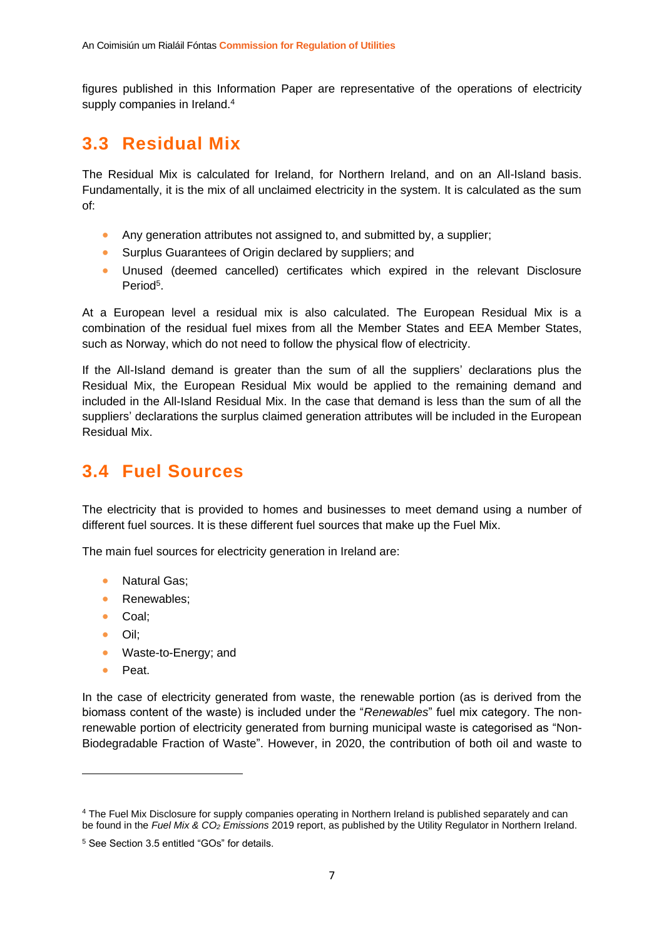figures published in this Information Paper are representative of the operations of electricity supply companies in Ireland.<sup>4</sup>

#### <span id="page-7-0"></span>**3.3 Residual Mix**

The Residual Mix is calculated for Ireland, for Northern Ireland, and on an All-Island basis. Fundamentally, it is the mix of all unclaimed electricity in the system. It is calculated as the sum of:

- Any generation attributes not assigned to, and submitted by, a supplier;
- Surplus Guarantees of Origin declared by suppliers; and
- Unused (deemed cancelled) certificates which expired in the relevant Disclosure Period<sup>5</sup>.

At a European level a residual mix is also calculated. The European Residual Mix is a combination of the residual fuel mixes from all the Member States and EEA Member States, such as Norway, which do not need to follow the physical flow of electricity.

If the All-Island demand is greater than the sum of all the suppliers' declarations plus the Residual Mix, the European Residual Mix would be applied to the remaining demand and included in the All-Island Residual Mix. In the case that demand is less than the sum of all the suppliers' declarations the surplus claimed generation attributes will be included in the European Residual Mix.

## <span id="page-7-1"></span>**3.4 Fuel Sources**

The electricity that is provided to homes and businesses to meet demand using a number of different fuel sources. It is these different fuel sources that make up the Fuel Mix.

The main fuel sources for electricity generation in Ireland are:

- Natural Gas:
- Renewables;
- Coal;
- Oil;
- Waste-to-Energy; and
- Peat.

In the case of electricity generated from waste, the renewable portion (as is derived from the biomass content of the waste) is included under the "*Renewables*" fuel mix category. The nonrenewable portion of electricity generated from burning municipal waste is categorised as "Non-Biodegradable Fraction of Waste". However, in 2020, the contribution of both oil and waste to

<sup>4</sup> The Fuel Mix Disclosure for supply companies operating in Northern Ireland is published separately and can be found in the *Fuel Mix & CO<sup>2</sup> Emissions* 2019 report, as published by the Utility Regulator in Northern Ireland.

<sup>5</sup> See Section 3.5 entitled "GOs" for details.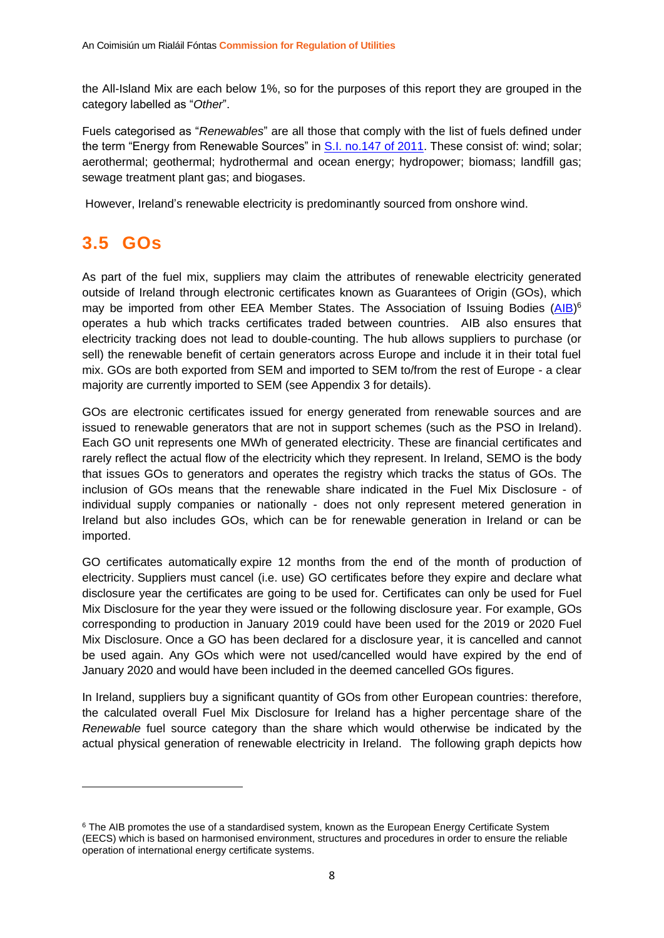the All-Island Mix are each below 1%, so for the purposes of this report they are grouped in the category labelled as "*Other*".

Fuels categorised as "*Renewables*" are all those that comply with the list of fuels defined under the term "Energy from Renewable Sources" in [S.I. no.147 of 2011.](http://www.irishstatutebook.ie/eli/2011/si/147/made/en/pdf) These consist of: wind; solar; aerothermal; geothermal; hydrothermal and ocean energy; hydropower; biomass; landfill gas; sewage treatment plant gas; and biogases.

However, Ireland's renewable electricity is predominantly sourced from onshore wind.

## <span id="page-8-0"></span>**3.5 GOs**

As part of the fuel mix, suppliers may claim the attributes of renewable electricity generated outside of Ireland through electronic certificates known as Guarantees of Origin (GOs), which may be imported from other EEA Member States. The Association of Issuing Bodies [\(AIB\)](https://www.aib-net.org/)<sup>6</sup> operates a hub which tracks certificates traded between countries. AIB also ensures that electricity tracking does not lead to double-counting. The hub allows suppliers to purchase (or sell) the renewable benefit of certain generators across Europe and include it in their total fuel mix. GOs are both exported from SEM and imported to SEM to/from the rest of Europe - a clear majority are currently imported to SEM (see Appendix 3 for details).

GOs are electronic certificates issued for energy generated from renewable sources and are issued to renewable generators that are not in support schemes (such as the PSO in Ireland). Each GO unit represents one MWh of generated electricity. These are financial certificates and rarely reflect the actual flow of the electricity which they represent. In Ireland, SEMO is the body that issues GOs to generators and operates the registry which tracks the status of GOs. The inclusion of GOs means that the renewable share indicated in the Fuel Mix Disclosure - of individual supply companies or nationally - does not only represent metered generation in Ireland but also includes GOs, which can be for renewable generation in Ireland or can be imported.

GO certificates automatically expire 12 months from the end of the month of production of electricity. Suppliers must cancel (i.e. use) GO certificates before they expire and declare what disclosure year the certificates are going to be used for. Certificates can only be used for Fuel Mix Disclosure for the year they were issued or the following disclosure year. For example, GOs corresponding to production in January 2019 could have been used for the 2019 or 2020 Fuel Mix Disclosure. Once a GO has been declared for a disclosure year, it is cancelled and cannot be used again. Any GOs which were not used/cancelled would have expired by the end of January 2020 and would have been included in the deemed cancelled GOs figures.

In Ireland, suppliers buy a significant quantity of GOs from other European countries: therefore, the calculated overall Fuel Mix Disclosure for Ireland has a higher percentage share of the *Renewable* fuel source category than the share which would otherwise be indicated by the actual physical generation of renewable electricity in Ireland. The following graph depicts how

<sup>&</sup>lt;sup>6</sup> The AIB promotes the use of a standardised system, known as the European Energy Certificate System (EECS) which is based on harmonised environment, structures and procedures in order to ensure the reliable operation of international energy certificate systems.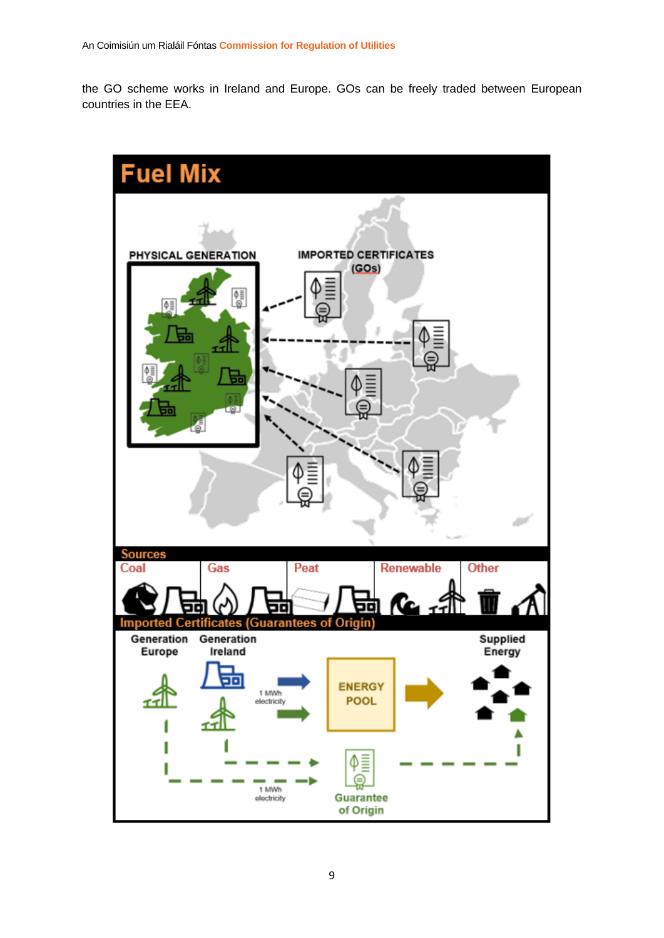the GO scheme works in Ireland and Europe. GOs can be freely traded between European countries in the EEA.

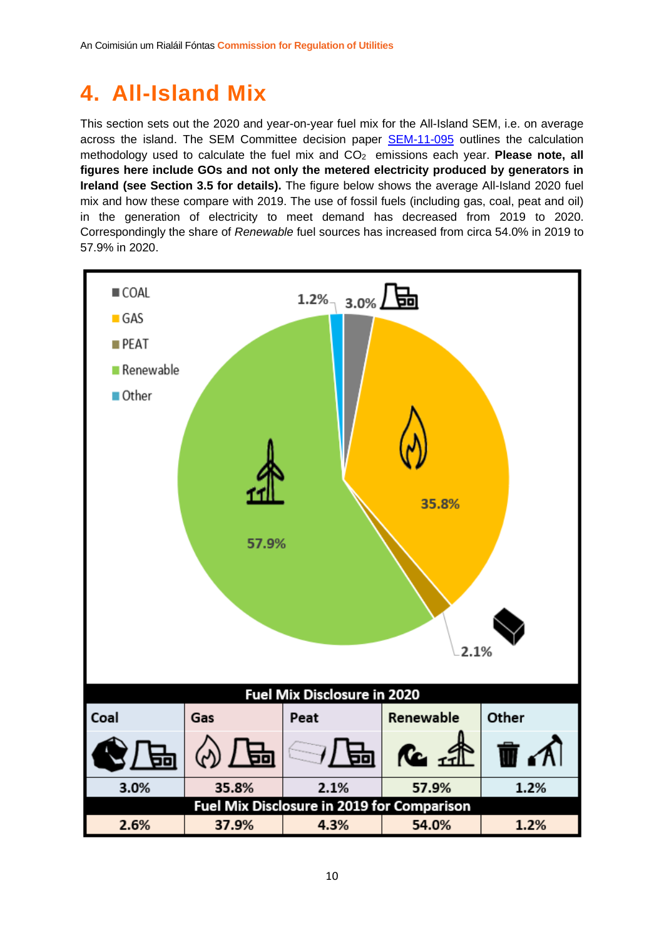# <span id="page-10-0"></span>**4. All-Island Mix**

This section sets out the 2020 and year-on-year fuel mix for the All-Island SEM, i.e. on average across the island. The SEM Committee decision paper **[SEM-11-095](https://www.semcommittee.com/sites/semcommittee.com/files/media-files/SEM-11-095%20Fuel%20Mix%20Disclosure%20Calculation%20Methodology%20Decision%20Paper.pdf)** outlines the calculation methodology used to calculate the fuel mix and CO<sub>2</sub> emissions each year. **Please note, all figures here include GOs and not only the metered electricity produced by generators in Ireland (see Section 3.5 for details).** The figure below shows the average All-Island 2020 fuel mix and how these compare with 2019. The use of fossil fuels (including gas, coal, peat and oil) in the generation of electricity to meet demand has decreased from 2019 to 2020. Correspondingly the share of *Renewable* fuel sources has increased from circa 54.0% in 2019 to 57.9% in 2020.

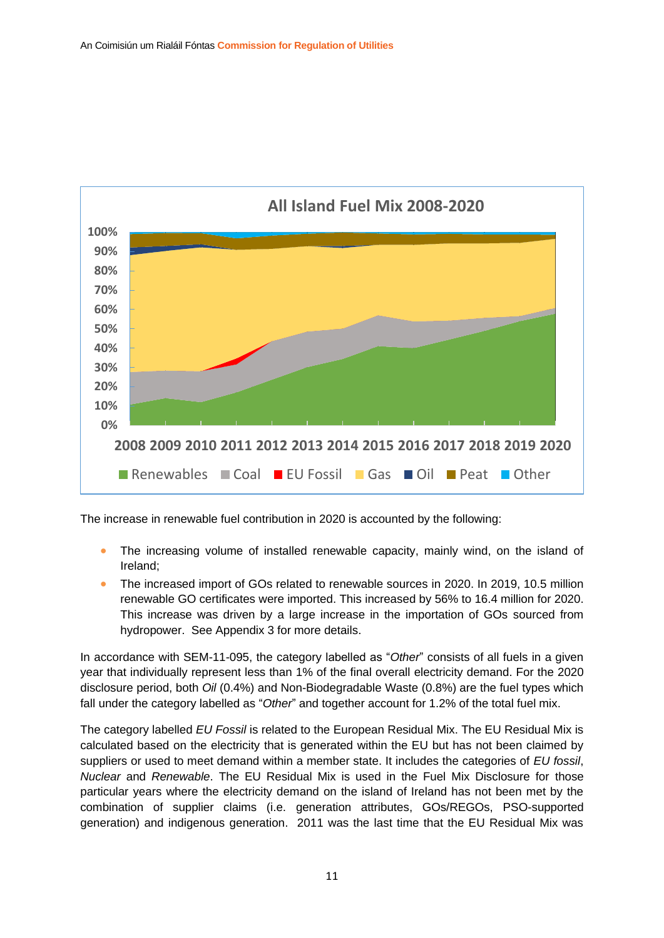

The increase in renewable fuel contribution in 2020 is accounted by the following:

- The increasing volume of installed renewable capacity, mainly wind, on the island of Ireland;
- The increased import of GOs related to renewable sources in 2020. In 2019, 10.5 million renewable GO certificates were imported. This increased by 56% to 16.4 million for 2020. This increase was driven by a large increase in the importation of GOs sourced from hydropower. See Appendix 3 for more details.

In accordance with SEM-11-095, the category labelled as "*Other*" consists of all fuels in a given year that individually represent less than 1% of the final overall electricity demand. For the 2020 disclosure period, both *Oil* (0.4%) and Non-Biodegradable Waste (0.8%) are the fuel types which fall under the category labelled as "*Other*" and together account for 1.2% of the total fuel mix.

The category labelled *EU Fossil* is related to the European Residual Mix. The EU Residual Mix is calculated based on the electricity that is generated within the EU but has not been claimed by suppliers or used to meet demand within a member state. It includes the categories of *EU fossil*, *Nuclear* and *Renewable*. The EU Residual Mix is used in the Fuel Mix Disclosure for those particular years where the electricity demand on the island of Ireland has not been met by the combination of supplier claims (i.e. generation attributes, GOs/REGOs, PSO-supported generation) and indigenous generation. 2011 was the last time that the EU Residual Mix was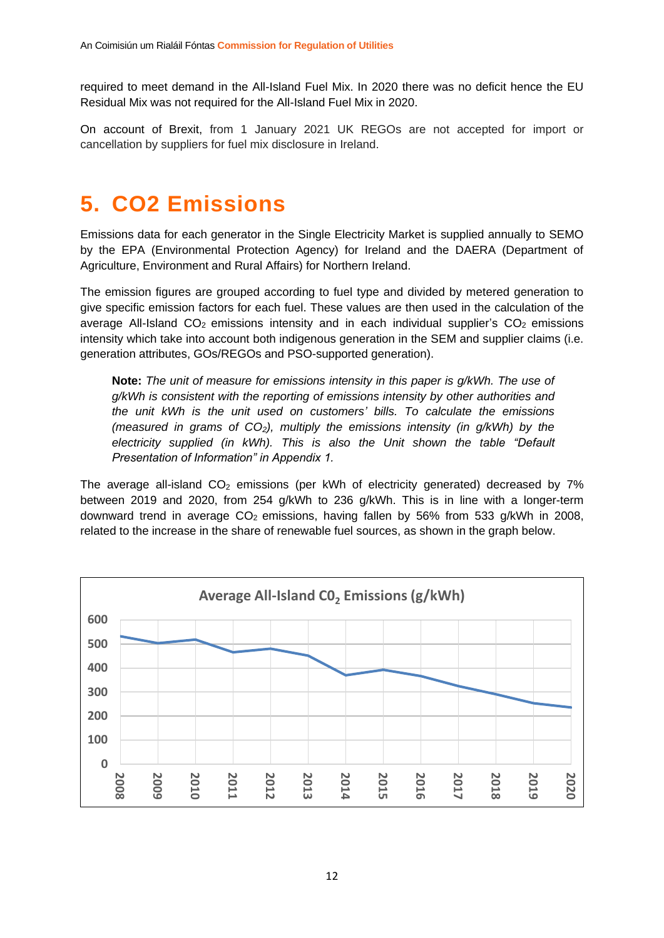required to meet demand in the All-Island Fuel Mix. In 2020 there was no deficit hence the EU Residual Mix was not required for the All-Island Fuel Mix in 2020.

On account of Brexit, from 1 January 2021 UK REGOs are not accepted for import or cancellation by suppliers for fuel mix disclosure in Ireland.

# <span id="page-12-0"></span>**5. CO2 Emissions**

Emissions data for each generator in the Single Electricity Market is supplied annually to SEMO by the EPA (Environmental Protection Agency) for Ireland and the DAERA (Department of Agriculture, Environment and Rural Affairs) for Northern Ireland.

The emission figures are grouped according to fuel type and divided by metered generation to give specific emission factors for each fuel. These values are then used in the calculation of the average All-Island  $CO<sub>2</sub>$  emissions intensity and in each individual supplier's  $CO<sub>2</sub>$  emissions intensity which take into account both indigenous generation in the SEM and supplier claims (i.e. generation attributes, GOs/REGOs and PSO-supported generation).

**Note:** *The unit of measure for emissions intensity in this paper is g/kWh. The use of g/kWh is consistent with the reporting of emissions intensity by other authorities and the unit kWh is the unit used on customers' bills. To calculate the emissions (measured in grams of CO2), multiply the emissions intensity (in g/kWh) by the electricity supplied (in kWh). This is also the Unit shown the table "Default Presentation of Information" in Appendix 1.*

The average all-island  $CO<sub>2</sub>$  emissions (per kWh of electricity generated) decreased by 7% between 2019 and 2020, from 254 g/kWh to 236 g/kWh. This is in line with a longer-term downward trend in average  $CO<sub>2</sub>$  emissions, having fallen by 56% from 533 g/kWh in 2008, related to the increase in the share of renewable fuel sources, as shown in the graph below.

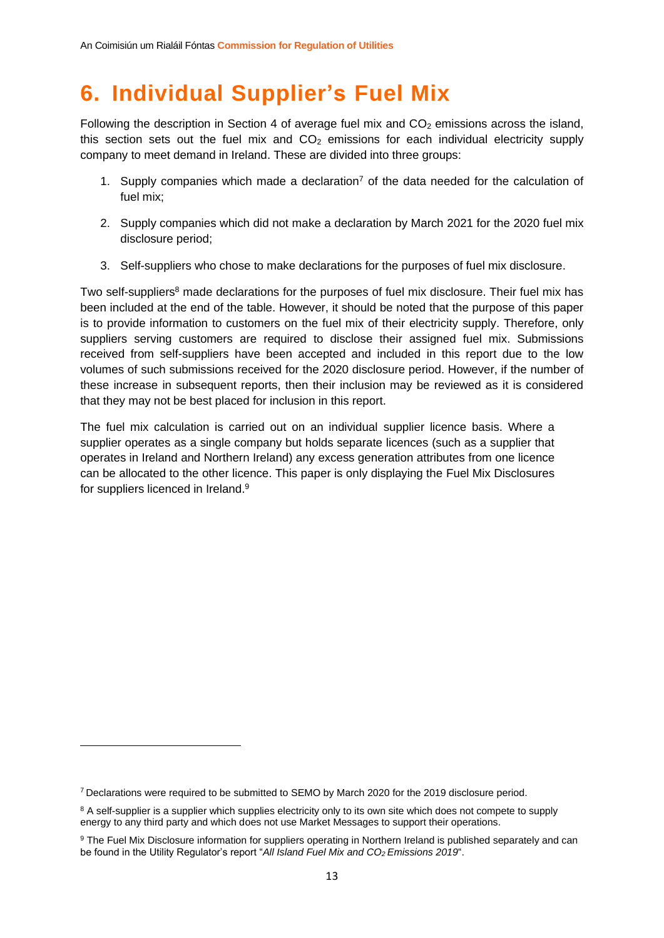# <span id="page-13-0"></span>**6. Individual Supplier's Fuel Mix**

Following the description in Section 4 of average fuel mix and  $CO<sub>2</sub>$  emissions across the island, this section sets out the fuel mix and  $CO<sub>2</sub>$  emissions for each individual electricity supply company to meet demand in Ireland. These are divided into three groups:

- 1. Supply companies which made a declaration<sup>7</sup> of the data needed for the calculation of fuel mix;
- 2. Supply companies which did not make a declaration by March 2021 for the 2020 fuel mix disclosure period;
- 3. Self-suppliers who chose to make declarations for the purposes of fuel mix disclosure.

Two self-suppliers<sup>8</sup> made declarations for the purposes of fuel mix disclosure. Their fuel mix has been included at the end of the table. However, it should be noted that the purpose of this paper is to provide information to customers on the fuel mix of their electricity supply. Therefore, only suppliers serving customers are required to disclose their assigned fuel mix. Submissions received from self-suppliers have been accepted and included in this report due to the low volumes of such submissions received for the 2020 disclosure period. However, if the number of these increase in subsequent reports, then their inclusion may be reviewed as it is considered that they may not be best placed for inclusion in this report.

The fuel mix calculation is carried out on an individual supplier licence basis. Where a supplier operates as a single company but holds separate licences (such as a supplier that operates in Ireland and Northern Ireland) any excess generation attributes from one licence can be allocated to the other licence. This paper is only displaying the Fuel Mix Disclosures for suppliers licenced in Ireland.<sup>9</sup>

<sup>7</sup> Declarations were required to be submitted to SEMO by March 2020 for the 2019 disclosure period.

<sup>&</sup>lt;sup>8</sup> A self-supplier is a supplier which supplies electricity only to its own site which does not compete to supply energy to any third party and which does not use Market Messages to support their operations.

<sup>9</sup> The Fuel Mix Disclosure information for suppliers operating in Northern Ireland is published separately and can be found in the Utility Regulator's report "*All Island Fuel Mix and CO2 Emissions 2019*".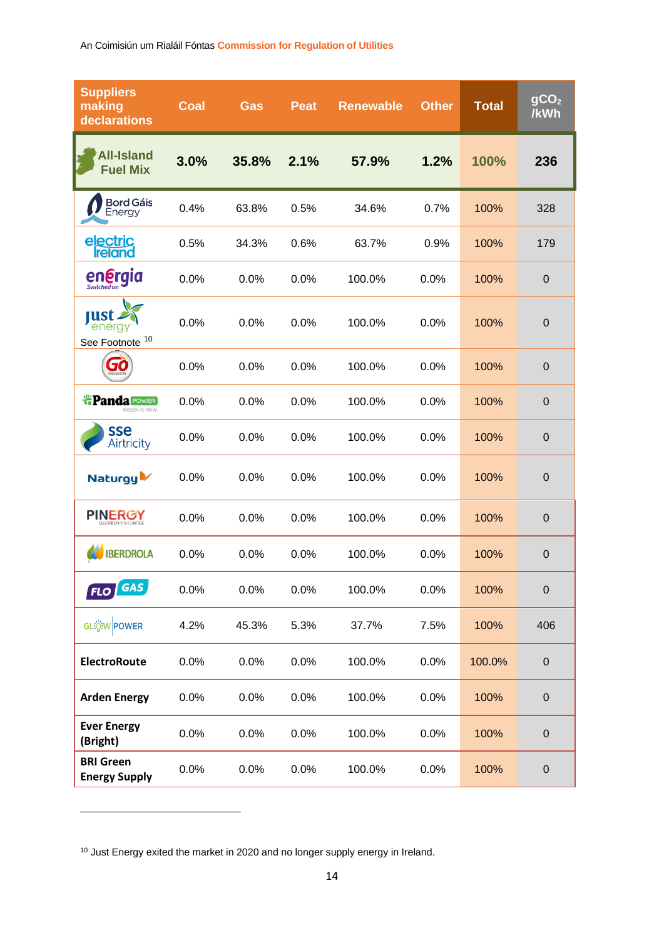| <b>Suppliers</b><br>making<br>declarations   | Coal | Gas   | <b>Peat</b> | <b>Renewable</b> | <b>Other</b> | <b>Total</b> | gCO <sub>2</sub><br>/kWh |
|----------------------------------------------|------|-------|-------------|------------------|--------------|--------------|--------------------------|
| <b>All-Island</b><br><b>Fuel Mix</b>         | 3.0% | 35.8% | 2.1%        | 57.9%            | 1.2%         | 100%         | 236                      |
| <b>Bord Gáis</b><br>Energy                   | 0.4% | 63.8% | 0.5%        | 34.6%            | 0.7%         | 100%         | 328                      |
| electric<br>reland                           | 0.5% | 34.3% | 0.6%        | 63.7%            | 0.9%         | 100%         | 179                      |
| en <b>ergia</b>                              | 0.0% | 0.0%  | 0.0%        | 100.0%           | 0.0%         | 100%         | $\mathbf 0$              |
| rust<br>energy<br>See Footnote <sup>10</sup> | 0.0% | 0.0%  | 0.0%        | 100.0%           | 0.0%         | 100%         | $\mathbf 0$              |
| 570                                          | 0.0% | 0.0%  | 0.0%        | 100.0%           | 0.0%         | 100%         | $\mathbf 0$              |
| <b>*Panda POWER</b><br>GREEN IS NOW          | 0.0% | 0.0%  | 0.0%        | 100.0%           | 0.0%         | 100%         | $\pmb{0}$                |
| sse<br>Airtricity                            | 0.0% | 0.0%  | 0.0%        | 100.0%           | 0.0%         | 100%         | $\mathbf 0$              |
| Naturgy <sup>1</sup>                         | 0.0% | 0.0%  | 0.0%        | 100.0%           | 0.0%         | 100%         | $\boldsymbol{0}$         |
| <b>PINERGY</b>                               | 0.0% | 0.0%  | 0.0%        | 100.0%           | 0.0%         | 100%         | $\mathbf 0$              |
| <b>IBERDROLA</b>                             | 0.0% | 0.0%  | 0.0%        | 100.0%           | 0.0%         | 100%         | $\mathbf 0$              |
| GAS<br>FLO                                   | 0.0% | 0.0%  | 0.0%        | 100.0%           | 0.0%         | 100%         | $\pmb{0}$                |
| GLEOW POWER                                  | 4.2% | 45.3% | 5.3%        | 37.7%            | 7.5%         | 100%         | 406                      |
| <b>ElectroRoute</b>                          | 0.0% | 0.0%  | 0.0%        | 100.0%           | 0.0%         | 100.0%       | $\pmb{0}$                |
| <b>Arden Energy</b>                          | 0.0% | 0.0%  | 0.0%        | 100.0%           | 0.0%         | 100%         | $\pmb{0}$                |
| <b>Ever Energy</b><br>(Bright)               | 0.0% | 0.0%  | 0.0%        | 100.0%           | 0.0%         | 100%         | $\boldsymbol{0}$         |
| <b>BRI Green</b><br><b>Energy Supply</b>     | 0.0% | 0.0%  | 0.0%        | 100.0%           | 0.0%         | 100%         | $\pmb{0}$                |

<sup>10</sup> Just Energy exited the market in 2020 and no longer supply energy in Ireland.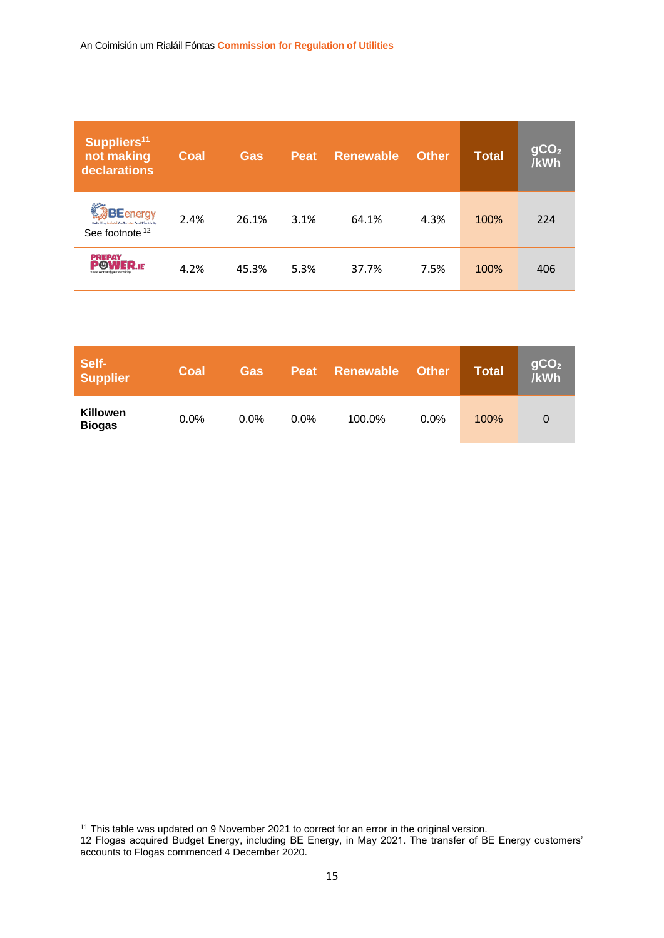| Suppliers <sup>11</sup><br>not making<br>declarations                               | <b>Coal</b> | <b>Gas</b> | <b>Peat</b> | <b>Renewable</b> | <b>Other</b> | <b>Total</b> | gCO <sub>2</sub><br>/kWh |
|-------------------------------------------------------------------------------------|-------------|------------|-------------|------------------|--------------|--------------|--------------------------|
| <b>BE</b> energy<br>reland On To Low Cost Electricity<br>See footnote <sup>12</sup> | 2.4%        | 26.1%      | 3.1%        | 64.1%            | 4.3%         | 100%         | 224                      |
| <b>PREPAY</b><br><b>WER.</b> IE<br>Smart control of wour electricity                | 4.2%        | 45.3%      | 5.3%        | 37.7%            | 7.5%         | 100%         | 406                      |

| Self-<br>Supplier         | Coal    | <b>Gas</b> | <b>Peat</b> | Renewable | <b>Other</b> | <b>Total</b> | gCO <sub>2</sub><br><b>/kWh</b> |
|---------------------------|---------|------------|-------------|-----------|--------------|--------------|---------------------------------|
| Killowen<br><b>Biogas</b> | $0.0\%$ | $0.0\%$    | $0.0\%$     | 100.0%    | $0.0\%$      | 100%         |                                 |

<sup>&</sup>lt;sup>11</sup> This table was updated on 9 November 2021 to correct for an error in the original version.

<sup>12</sup> Flogas acquired Budget Energy, including BE Energy, in May 2021. The transfer of BE Energy customers' accounts to Flogas commenced 4 December 2020.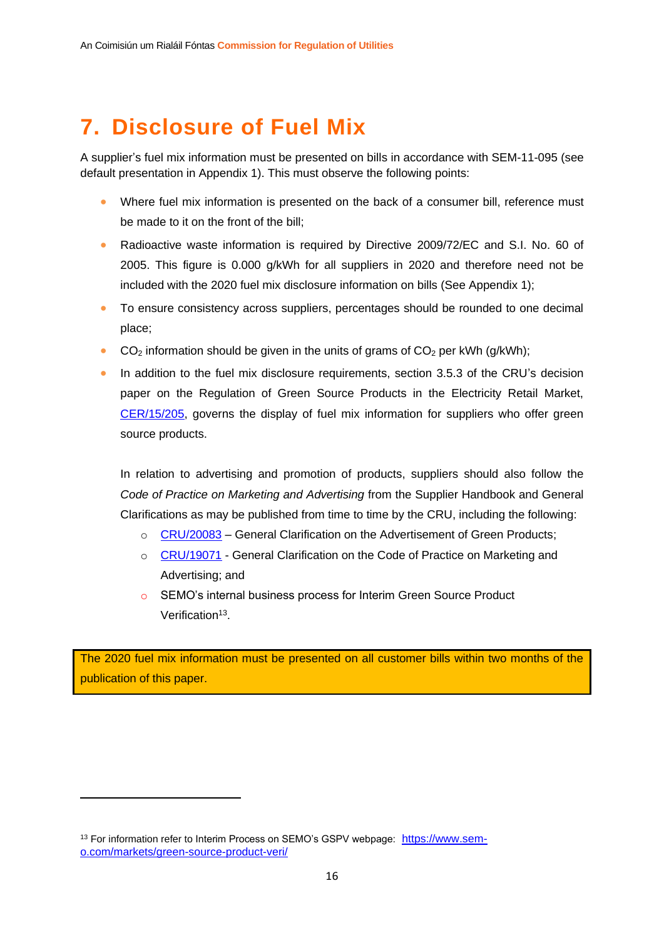# <span id="page-16-0"></span>**7. Disclosure of Fuel Mix**

A supplier's fuel mix information must be presented on bills in accordance with SEM-11-095 (see default presentation in Appendix 1). This must observe the following points:

- Where fuel mix information is presented on the back of a consumer bill, reference must be made to it on the front of the bill;
- Radioactive waste information is required by Directive 2009/72/EC and S.I. No. 60 of 2005. This figure is 0.000 g/kWh for all suppliers in 2020 and therefore need not be included with the 2020 fuel mix disclosure information on bills (See Appendix 1);
- To ensure consistency across suppliers, percentages should be rounded to one decimal place;
- $CO<sub>2</sub>$  information should be given in the units of grams of  $CO<sub>2</sub>$  per kWh (g/kWh);
- In addition to the fuel mix disclosure requirements, section 3.5.3 of the CRU's decision paper on the Regulation of Green Source Products in the Electricity Retail Market, [CER/15/205,](https://www.cru.ie/wp-content/uploads/2015/07/CER15205-Green-Source-Products-Decision-Paper.pdf) governs the display of fuel mix information for suppliers who offer green source products.

In relation to advertising and promotion of products, suppliers should also follow the *Code of Practice on Marketing and Advertising* from the Supplier Handbook and General Clarifications as may be published from time to time by the CRU, including the following:

- o [CRU/20083](https://www.cru.ie/wp-content/uploads/2020/07/CRU20083-General-Clarification-on-the-Advertisement-of-Green-Products.pdf) General Clarification on the Advertisement of Green Products;
- o [CRU/19071](https://www.cru.ie/wp-content/uploads/2019/06/CRU19071-General-Clarification-on-the-Code-of-Practice-on-Marketing-and-Advertising.pdf) General Clarification on the Code of Practice on Marketing and Advertising; and
- o SEMO's internal business process for Interim Green Source Product Verification<sup>13</sup>.

The 2020 fuel mix information must be presented on all customer bills within two months of the publication of this paper.

<sup>13</sup> For information refer to Interim Process on SEMO's GSPV webpage: [https://www.sem](https://www.sem-o.com/markets/green-source-product-veri/)[o.com/markets/green-source-product-veri/](https://www.sem-o.com/markets/green-source-product-veri/)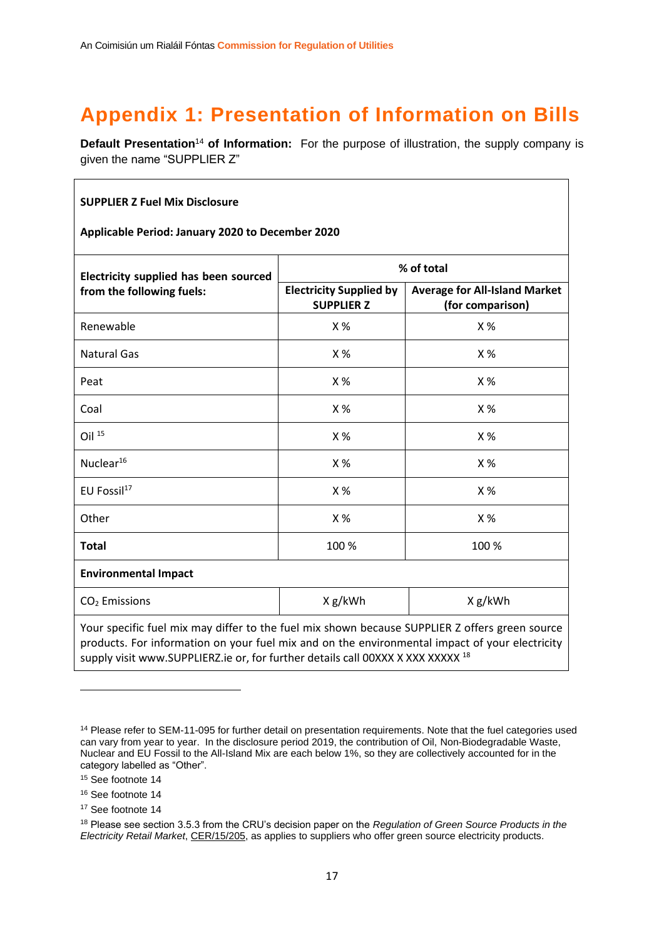# <span id="page-17-0"></span>**Appendix 1: Presentation of Information on Bills**

**Default Presentation<sup>14</sup> of Information:** For the purpose of illustration, the supply company is given the name "SUPPLIER Z"

#### **SUPPLIER Z Fuel Mix Disclosure**

**Applicable Period: January 2020 to December 2020**

| Electricity supplied has been sourced                                                          | % of total                                          |                                                          |  |  |  |  |  |  |
|------------------------------------------------------------------------------------------------|-----------------------------------------------------|----------------------------------------------------------|--|--|--|--|--|--|
| from the following fuels:                                                                      | <b>Electricity Supplied by</b><br><b>SUPPLIER Z</b> | <b>Average for All-Island Market</b><br>(for comparison) |  |  |  |  |  |  |
| Renewable                                                                                      | X %                                                 | X%                                                       |  |  |  |  |  |  |
| <b>Natural Gas</b>                                                                             | X%                                                  | X%                                                       |  |  |  |  |  |  |
| Peat                                                                                           | X %                                                 | X%                                                       |  |  |  |  |  |  |
| Coal                                                                                           | X%                                                  | X%                                                       |  |  |  |  |  |  |
| Oil $15$                                                                                       | X%                                                  | X%                                                       |  |  |  |  |  |  |
| Nuclear <sup>16</sup>                                                                          | X %                                                 | X%                                                       |  |  |  |  |  |  |
| EU Fossil <sup>17</sup>                                                                        | X%                                                  | X %                                                      |  |  |  |  |  |  |
| Other                                                                                          | X%                                                  | X%                                                       |  |  |  |  |  |  |
| <b>Total</b>                                                                                   | 100 %                                               | 100 %                                                    |  |  |  |  |  |  |
| <b>Environmental Impact</b>                                                                    |                                                     |                                                          |  |  |  |  |  |  |
| $CO2$ Emissions                                                                                | X g/kWh                                             | X g/kWh                                                  |  |  |  |  |  |  |
| Your specific fuel mix may differ to the fuel mix shown because SUPPLIER Z offers green source |                                                     |                                                          |  |  |  |  |  |  |

products. For information on your fuel mix and on the environmental impact of your electricity supply visit www.SUPPLIERZ.ie or, for further details call 00XXX X XXX XXXXX 18

<sup>14</sup> Please refer to SEM-11-095 for further detail on presentation requirements. Note that the fuel categories used can vary from year to year. In the disclosure period 2019, the contribution of Oil, Non-Biodegradable Waste, Nuclear and EU Fossil to the All-Island Mix are each below 1%, so they are collectively accounted for in the category labelled as "Other".

<sup>15</sup> See footnote 14

<sup>16</sup> See footnote 14

<sup>17</sup> See footnote 14

<sup>18</sup> Please see section 3.5.3 from the CRU's decision paper on the *Regulation of Green Source Products in the Electricity Retail Market*, [CER/15/205,](https://www.cru.ie/wp-content/uploads/2015/07/CER15205-Green-Source-Products-Decision-Paper.pdf) as applies to suppliers who offer green source electricity products.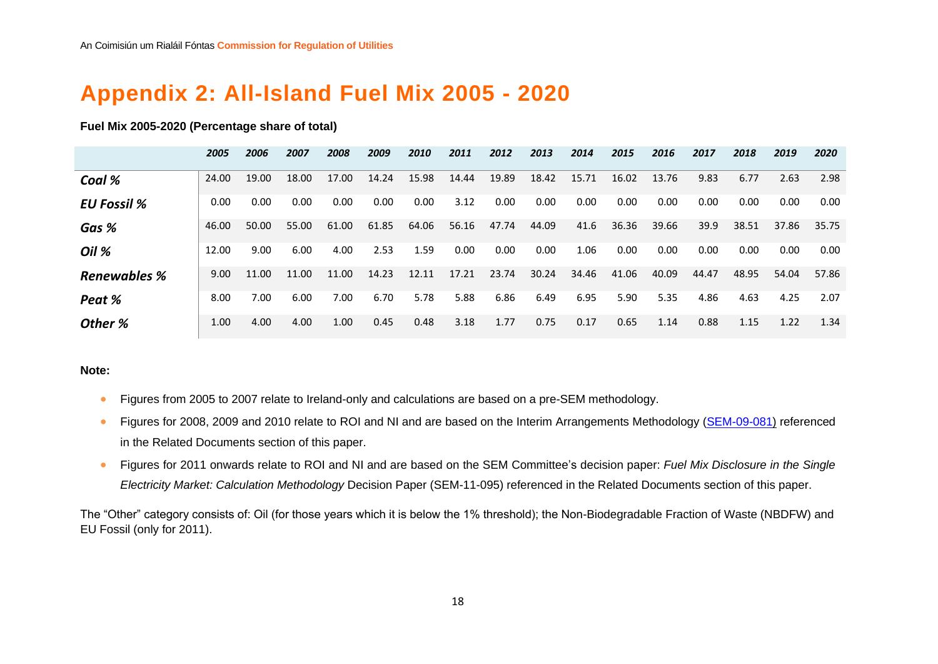# **Appendix 2: All-Island Fuel Mix 2005 - 2020**

#### **Fuel Mix 2005-2020 (Percentage share of total)**

|                     | 2005  | 2006  | 2007  | 2008  | 2009  | 2010  | 2011  | 2012  | 2013  | 2014  | 2015  | 2016  | 2017  | 2018  | 2019  | 2020  |
|---------------------|-------|-------|-------|-------|-------|-------|-------|-------|-------|-------|-------|-------|-------|-------|-------|-------|
| Coal %              | 24.00 | 19.00 | 18.00 | 17.00 | 14.24 | 15.98 | 14.44 | 19.89 | 18.42 | 15.71 | 16.02 | 13.76 | 9.83  | 6.77  | 2.63  | 2.98  |
| <b>EU Fossil %</b>  | 0.00  | 0.00  | 0.00  | 0.00  | 0.00  | 0.00  | 3.12  | 0.00  | 0.00  | 0.00  | 0.00  | 0.00  | 0.00  | 0.00  | 0.00  | 0.00  |
| Gas %               | 46.00 | 50.00 | 55.00 | 61.00 | 61.85 | 64.06 | 56.16 | 47.74 | 44.09 | 41.6  | 36.36 | 39.66 | 39.9  | 38.51 | 37.86 | 35.75 |
| Oil %               | 12.00 | 9.00  | 6.00  | 4.00  | 2.53  | 1.59  | 0.00  | 0.00  | 0.00  | 1.06  | 0.00  | 0.00  | 0.00  | 0.00  | 0.00  | 0.00  |
| <b>Renewables %</b> | 9.00  | 11.00 | 11.00 | 11.00 | 14.23 | 12.11 | 17.21 | 23.74 | 30.24 | 34.46 | 41.06 | 40.09 | 44.47 | 48.95 | 54.04 | 57.86 |
| Peat %              | 8.00  | 7.00  | 6.00  | 7.00  | 6.70  | 5.78  | 5.88  | 6.86  | 6.49  | 6.95  | 5.90  | 5.35  | 4.86  | 4.63  | 4.25  | 2.07  |
| Other %             | 1.00  | 4.00  | 4.00  | 1.00  | 0.45  | 0.48  | 3.18  | 1.77  | 0.75  | 0.17  | 0.65  | 1.14  | 0.88  | 1.15  | 1.22  | 1.34  |

#### <span id="page-18-0"></span>**Note:**

- Figures from 2005 to 2007 relate to Ireland-only and calculations are based on a pre-SEM methodology.
- Figures for 2008, 2009 and 2010 relate to ROI and NI and are based on the Interim Arrangements Methodology [\(SEM-09-081\)](https://www.semcommittee.com/sites/semcommittee.com/files/media-files/SEM-09-081.pdf) referenced in the Related Documents section of this paper.
- Figures for 2011 onwards relate to ROI and NI and are based on the SEM Committee's decision paper: *Fuel Mix Disclosure in the Single Electricity Market: Calculation Methodology* Decision Paper (SEM-11-095) referenced in the Related Documents section of this paper.

The "Other" category consists of: Oil (for those years which it is below the 1% threshold); the Non-Biodegradable Fraction of Waste (NBDFW) and EU Fossil (only for 2011).